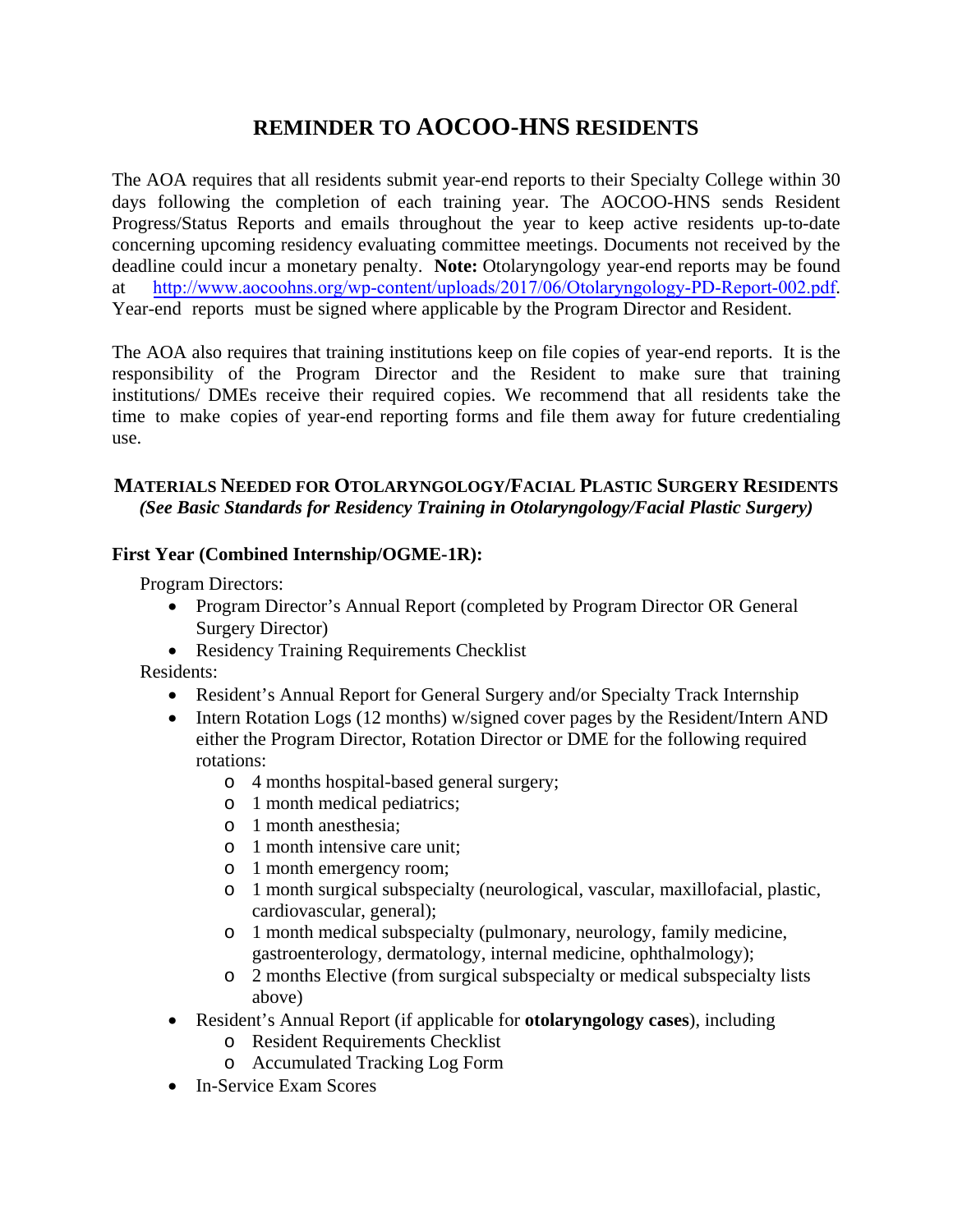# **REMINDER TO AOCOO-HNS RESIDENTS**

The AOA requires that all residents submit year-end reports to their Specialty College within 30 days following the completion of each training year. The AOCOO-HNS sends Resident Progress/Status Reports and emails throughout the year to keep active residents up-to-date concerning upcoming residency evaluating committee meetings. Documents not received by the deadline could incur a monetary penalty. **Note:** Otolaryngology year-end reports may be found at <http://www.aocoohns.org/wp-content/uploads/2017/06/Otolaryngology-PD-Report-002.pdf>. Year-end reports must be signed where applicable by the Program Director and Resident.

The AOA also requires that training institutions keep on file copies of year-end reports. It is the responsibility of the Program Director and the Resident to make sure that training institutions/ DMEs receive their required copies. We recommend that all residents take the time to make copies of year-end reporting forms and file them away for future credentialing use.

#### **MATERIALS NEEDED FOR OTOLARYNGOLOGY/FACIAL PLASTIC SURGERY RESIDENTS** *(See Basic Standards for Residency Training in Otolaryngology/Facial Plastic Surgery)*

## **First Year (Combined Internship/OGME-1R):**

Program Directors:

- Program Director's Annual Report (completed by Program Director OR General Surgery Director)
- Residency Training Requirements Checklist

Residents:

- Resident's Annual Report for General Surgery and/or Specialty Track Internship
- Intern Rotation Logs (12 months) w/signed cover pages by the Resident/Intern AND either the Program Director, Rotation Director or DME for the following required rotations:
	- o 4 months hospital-based general surgery;
	- o 1 month medical pediatrics;
	- o 1 month anesthesia;
	- o 1 month intensive care unit;
	- o 1 month emergency room;
	- o 1 month surgical subspecialty (neurological, vascular, maxillofacial, plastic, cardiovascular, general);
	- o 1 month medical subspecialty (pulmonary, neurology, family medicine, gastroenterology, dermatology, internal medicine, ophthalmology);
	- o 2 months Elective (from surgical subspecialty or medical subspecialty lists above)
- Resident's Annual Report (if applicable for **otolaryngology cases**), including
	- o Resident Requirements Checklist
	- o Accumulated Tracking Log Form
- In-Service Exam Scores